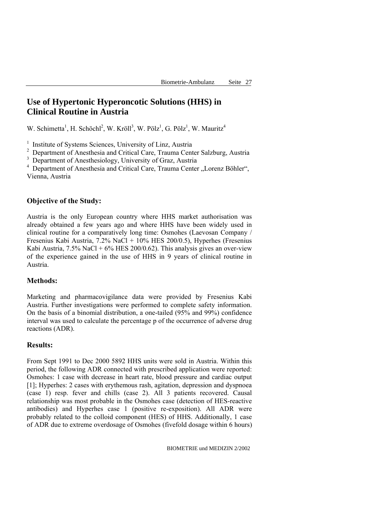# **Use of Hypertonic Hyperoncotic Solutions (HHS) in Clinical Routine in Austria**

W. Schimetta<sup>1</sup>, H. Schöchl<sup>2</sup>, W. Kröll<sup>3</sup>, W. Pölz<sup>1</sup>, G. Pölz<sup>1</sup>, W. Mauritz<sup>4</sup>

<sup>1</sup> Institute of Systems Sciences, University of Linz, Austria

<sup>2</sup> Department of Anesthesia and Critical Care, Trauma Center Salzburg, Austria

<sup>3</sup> Department of Anesthesiology, University of Graz, Austria

<sup>4</sup> Department of Anesthesia and Critical Care, Trauma Center "Lorenz Böhler", Vienna, Austria

## **Objective of the Study:**

Austria is the only European country where HHS market authorisation was already obtained a few years ago and where HHS have been widely used in clinical routine for a comparatively long time: Osmohes (Laevosan Company / Fresenius Kabi Austria, 7.2% NaCl + 10% HES 200/0.5), Hyperhes (Fresenius Kabi Austria,  $7.5\%$  NaCl +  $6\%$  HES 200/0.62). This analysis gives an over-view of the experience gained in the use of HHS in 9 years of clinical routine in Austria.

#### **Methods:**

Marketing and pharmacovigilance data were provided by Fresenius Kabi Austria. Further investigations were performed to complete safety information. On the basis of a binomial distribution, a one-tailed (95% and 99%) confidence interval was used to calculate the percentage p of the occurrence of adverse drug reactions (ADR).

#### **Results:**

From Sept 1991 to Dec 2000 5892 HHS units were sold in Austria. Within this period, the following ADR connected with prescribed application were reported: Osmohes: 1 case with decrease in heart rate, blood pressure and cardiac output [1]; Hyperhes: 2 cases with erythemous rash, agitation, depression and dyspnoea (case 1) resp. fever and chills (case 2). All 3 patients recovered. Causal relationship was most probable in the Osmohes case (detection of HES-reactive antibodies) and Hyperhes case 1 (positive re-exposition). All ADR were probably related to the colloid component (HES) of HHS. Additionally, 1 case of ADR due to extreme overdosage of Osmohes (fivefold dosage within 6 hours)